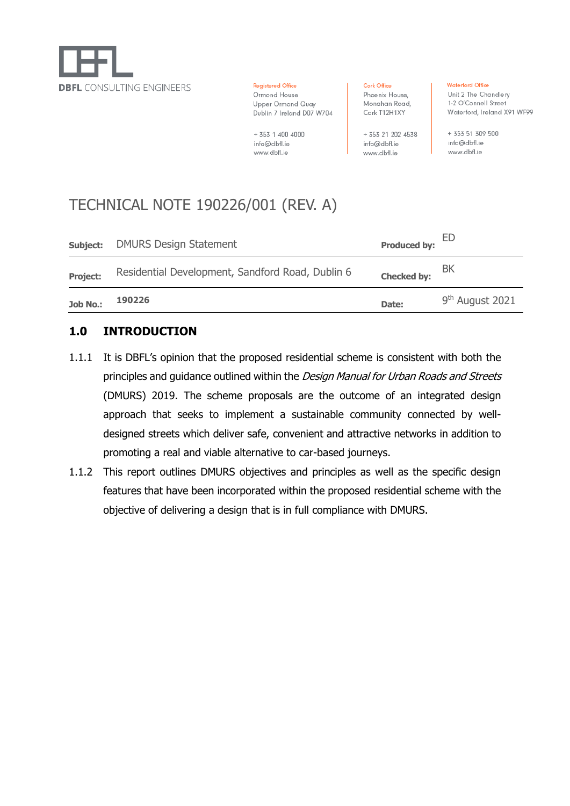

**Registered Office** Ormond House Upper Ormond Quay Dublin 7 Ireland D07 W704

+ 353 1 400 4000 info@dbfl.ie www.dbfl.ie

Cork Office Phoenix House, Monahan Road, Cork T12H1XY

+ 353 21 202 4538 info@dbfl.ie

www.dbfl.ie

**Waterford Office** 

Unit 2 The Chandlery 1-2 O'Connell Street Waterford, Ireland X91 WF99

+ 353 51 309 500 info@dbfl.ie www.dbfl.ie

# TECHNICAL NOTE 190226/001 (REV. A)

| <b>Job No.:</b> | 190226                                           | Date:               | 9 <sup>th</sup> August 2021 |
|-----------------|--------------------------------------------------|---------------------|-----------------------------|
| <b>Project:</b> | Residential Development, Sandford Road, Dublin 6 | <b>Checked by:</b>  | ΒK                          |
| Subject:        | <b>DMURS Design Statement</b>                    | <b>Produced by:</b> | ED                          |

#### **1.0 INTRODUCTION**

- 1.1.1 It is DBFL's opinion that the proposed residential scheme is consistent with both the principles and guidance outlined within the Design Manual for Urban Roads and Streets (DMURS) 2019. The scheme proposals are the outcome of an integrated design approach that seeks to implement a sustainable community connected by welldesigned streets which deliver safe, convenient and attractive networks in addition to promoting a real and viable alternative to car-based journeys.
- 1.1.2 This report outlines DMURS objectives and principles as well as the specific design features that have been incorporated within the proposed residential scheme with the objective of delivering a design that is in full compliance with DMURS.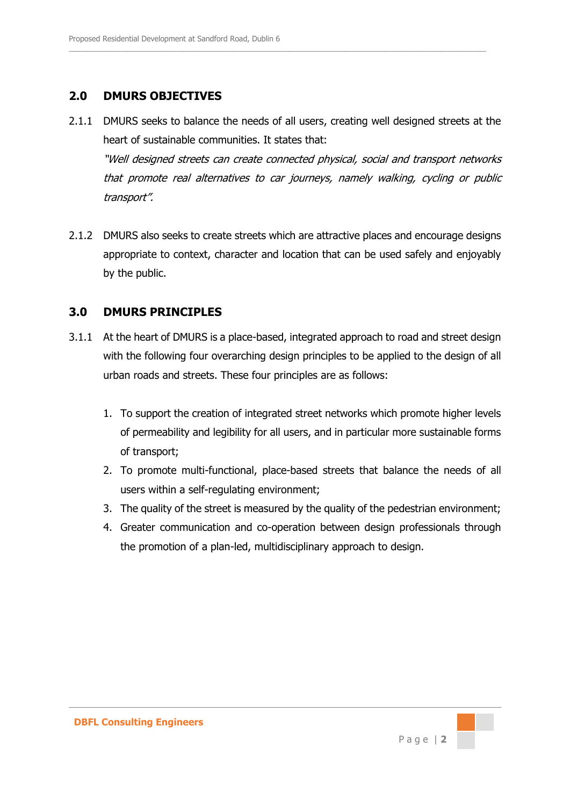# **2.0 DMURS OBJECTIVES**

2.1.1 DMURS seeks to balance the needs of all users, creating well designed streets at the heart of sustainable communities. It states that: "Well designed streets can create connected physical, social and transport networks that promote real alternatives to car journeys, namely walking, cycling or public transport".

 $\_$  , and the set of the set of the set of the set of the set of the set of the set of the set of the set of the set of the set of the set of the set of the set of the set of the set of the set of the set of the set of th

2.1.2 DMURS also seeks to create streets which are attractive places and encourage designs appropriate to context, character and location that can be used safely and enjoyably by the public.

## **3.0 DMURS PRINCIPLES**

- 3.1.1 At the heart of DMURS is a place-based, integrated approach to road and street design with the following four overarching design principles to be applied to the design of all urban roads and streets. These four principles are as follows:
	- 1. To support the creation of integrated street networks which promote higher levels of permeability and legibility for all users, and in particular more sustainable forms of transport;
	- 2. To promote multi-functional, place-based streets that balance the needs of all users within a self-regulating environment;
	- 3. The quality of the street is measured by the quality of the pedestrian environment;
	- 4. Greater communication and co-operation between design professionals through the promotion of a plan-led, multidisciplinary approach to design.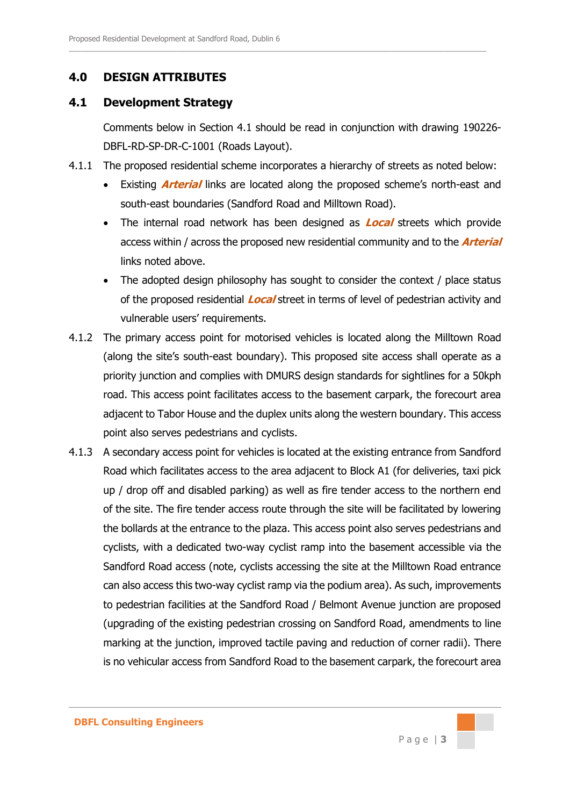#### **4.0 DESIGN ATTRIBUTES**

#### **4.1 Development Strategy**

Comments below in Section 4.1 should be read in conjunction with drawing 190226- DBFL-RD-SP-DR-C-1001 (Roads Layout).

4.1.1 The proposed residential scheme incorporates a hierarchy of streets as noted below:

 $\_$  , and the set of the set of the set of the set of the set of the set of the set of the set of the set of the set of the set of the set of the set of the set of the set of the set of the set of the set of the set of th

- Existing **Arterial** links are located along the proposed scheme's north-east and south-east boundaries (Sandford Road and Milltown Road).
- The internal road network has been designed as **Local** streets which provide access within / across the proposed new residential community and to the **Arterial** links noted above.
- The adopted design philosophy has sought to consider the context / place status of the proposed residential **Local** street in terms of level of pedestrian activity and vulnerable users' requirements.
- 4.1.2 The primary access point for motorised vehicles is located along the Milltown Road (along the site's south-east boundary). This proposed site access shall operate as a priority junction and complies with DMURS design standards for sightlines for a 50kph road. This access point facilitates access to the basement carpark, the forecourt area adjacent to Tabor House and the duplex units along the western boundary. This access point also serves pedestrians and cyclists.
- 4.1.3 A secondary access point for vehicles is located at the existing entrance from Sandford Road which facilitates access to the area adjacent to Block A1 (for deliveries, taxi pick up / drop off and disabled parking) as well as fire tender access to the northern end of the site. The fire tender access route through the site will be facilitated by lowering the bollards at the entrance to the plaza. This access point also serves pedestrians and cyclists, with a dedicated two-way cyclist ramp into the basement accessible via the Sandford Road access (note, cyclists accessing the site at the Milltown Road entrance can also access this two-way cyclist ramp via the podium area). As such, improvements to pedestrian facilities at the Sandford Road / Belmont Avenue junction are proposed (upgrading of the existing pedestrian crossing on Sandford Road, amendments to line marking at the junction, improved tactile paving and reduction of corner radii). There is no vehicular access from Sandford Road to the basement carpark, the forecourt area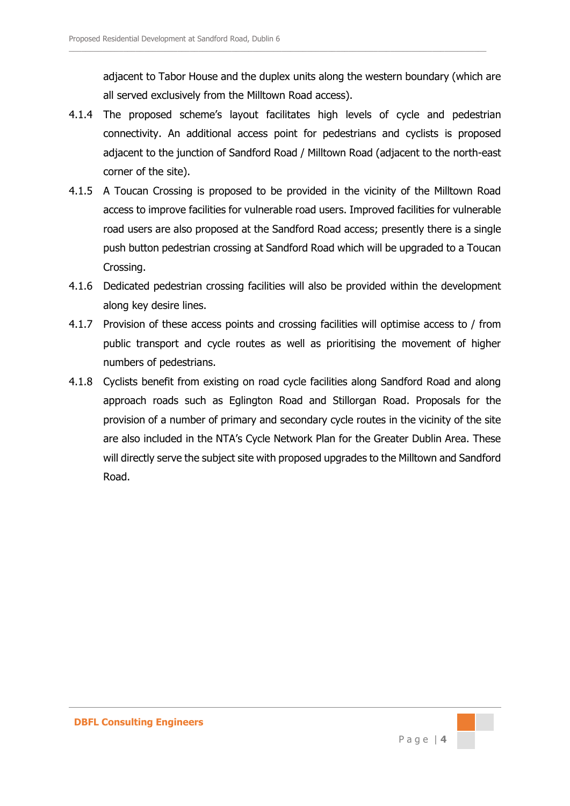adjacent to Tabor House and the duplex units along the western boundary (which are all served exclusively from the Milltown Road access).

4.1.4 The proposed scheme's layout facilitates high levels of cycle and pedestrian connectivity. An additional access point for pedestrians and cyclists is proposed adjacent to the junction of Sandford Road / Milltown Road (adjacent to the north-east corner of the site).

 $\_$  , and the set of the set of the set of the set of the set of the set of the set of the set of the set of the set of the set of the set of the set of the set of the set of the set of the set of the set of the set of th

- 4.1.5 A Toucan Crossing is proposed to be provided in the vicinity of the Milltown Road access to improve facilities for vulnerable road users. Improved facilities for vulnerable road users are also proposed at the Sandford Road access; presently there is a single push button pedestrian crossing at Sandford Road which will be upgraded to a Toucan Crossing.
- 4.1.6 Dedicated pedestrian crossing facilities will also be provided within the development along key desire lines.
- 4.1.7 Provision of these access points and crossing facilities will optimise access to / from public transport and cycle routes as well as prioritising the movement of higher numbers of pedestrians.
- 4.1.8 Cyclists benefit from existing on road cycle facilities along Sandford Road and along approach roads such as Eglington Road and Stillorgan Road. Proposals for the provision of a number of primary and secondary cycle routes in the vicinity of the site are also included in the NTA's Cycle Network Plan for the Greater Dublin Area. These will directly serve the subject site with proposed upgrades to the Milltown and Sandford Road.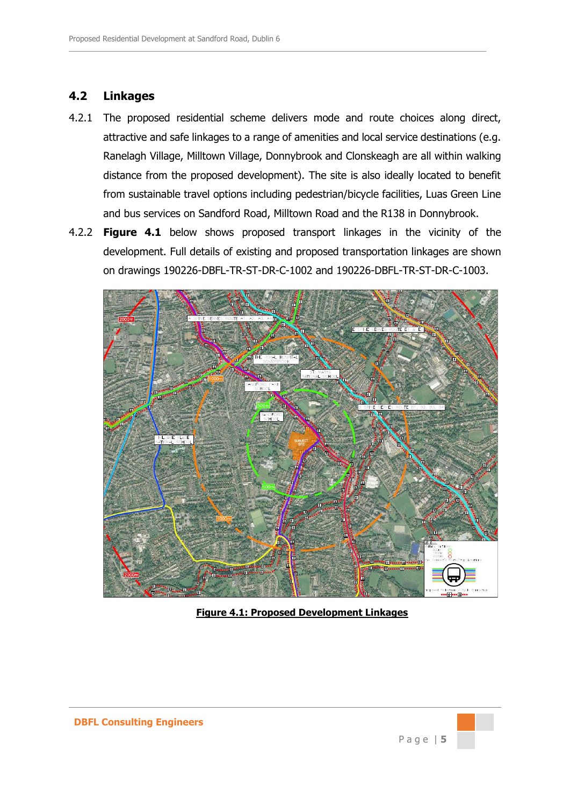### **4.2 Linkages**

4.2.1 The proposed residential scheme delivers mode and route choices along direct, attractive and safe linkages to a range of amenities and local service destinations (e.g. Ranelagh Village, Milltown Village, Donnybrook and Clonskeagh are all within walking distance from the proposed development). The site is also ideally located to benefit from sustainable travel options including pedestrian/bicycle facilities, Luas Green Line and bus services on Sandford Road, Milltown Road and the R138 in Donnybrook.

 $\_$  , and the set of the set of the set of the set of the set of the set of the set of the set of the set of the set of the set of the set of the set of the set of the set of the set of the set of the set of the set of th

4.2.2 **Figure 4.1** below shows proposed transport linkages in the vicinity of the development. Full details of existing and proposed transportation linkages are shown on drawings 190226-DBFL-TR-ST-DR-C-1002 and 190226-DBFL-TR-ST-DR-C-1003.



**Figure 4.1: Proposed Development Linkages**

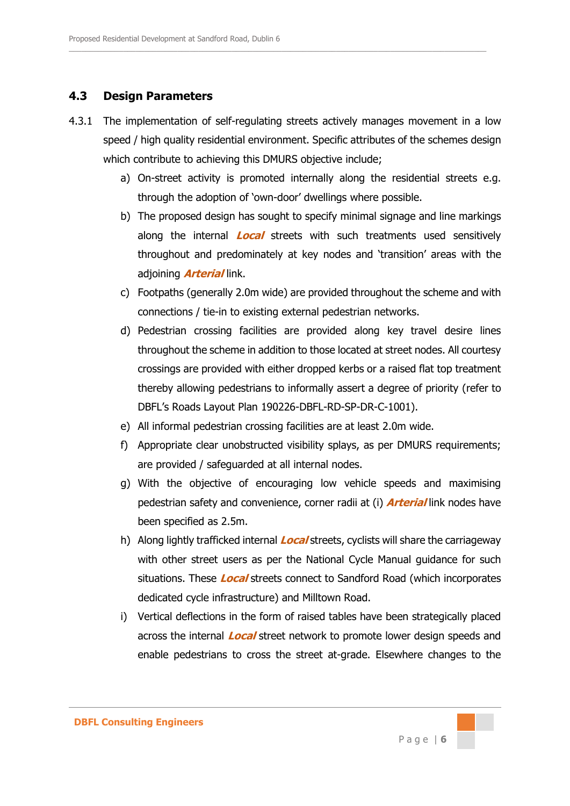#### **4.3 Design Parameters**

4.3.1 The implementation of self-regulating streets actively manages movement in a low speed / high quality residential environment. Specific attributes of the schemes design which contribute to achieving this DMURS objective include;

 $\_$  , and the set of the set of the set of the set of the set of the set of the set of the set of the set of the set of the set of the set of the set of the set of the set of the set of the set of the set of the set of th

- a) On-street activity is promoted internally along the residential streets e.g. through the adoption of 'own-door' dwellings where possible.
- b) The proposed design has sought to specify minimal signage and line markings along the internal **Local** streets with such treatments used sensitively throughout and predominately at key nodes and 'transition' areas with the adjoining **Arterial** link.
- c) Footpaths (generally 2.0m wide) are provided throughout the scheme and with connections / tie-in to existing external pedestrian networks.
- d) Pedestrian crossing facilities are provided along key travel desire lines throughout the scheme in addition to those located at street nodes. All courtesy crossings are provided with either dropped kerbs or a raised flat top treatment thereby allowing pedestrians to informally assert a degree of priority (refer to DBFL's Roads Layout Plan 190226-DBFL-RD-SP-DR-C-1001).
- e) All informal pedestrian crossing facilities are at least 2.0m wide.
- f) Appropriate clear unobstructed visibility splays, as per DMURS requirements; are provided / safeguarded at all internal nodes.
- g) With the objective of encouraging low vehicle speeds and maximising pedestrian safety and convenience, corner radii at (i) **Arterial** link nodes have been specified as 2.5m.
- h) Along lightly trafficked internal **Local** streets, cyclists will share the carriageway with other street users as per the National Cycle Manual guidance for such situations. These **Local** streets connect to Sandford Road (which incorporates dedicated cycle infrastructure) and Milltown Road.
- i) Vertical deflections in the form of raised tables have been strategically placed across the internal **Local** street network to promote lower design speeds and enable pedestrians to cross the street at-grade. Elsewhere changes to the